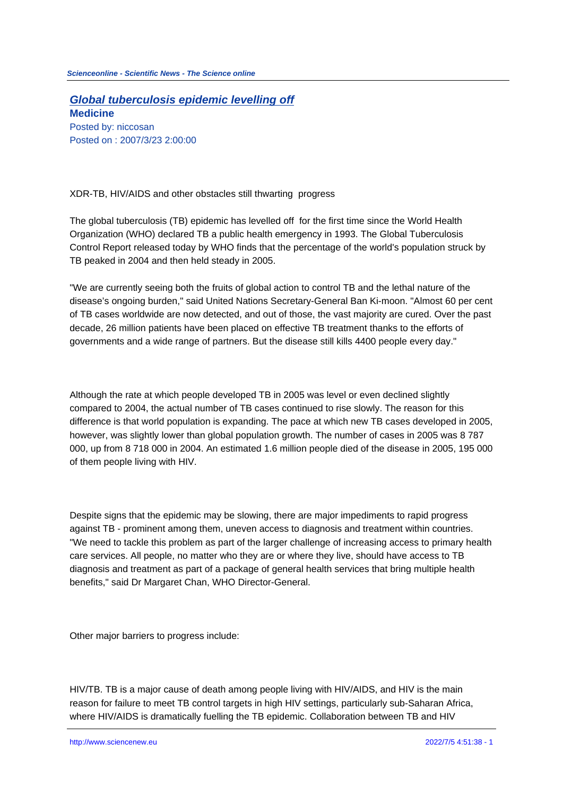**Global tuberculosis epidemic levelling off Medicine** Posted by: niccosan Posted on : 2007/3/23 2:00:00

XDR-TB, HIV/AIDS and other obstacles still thwarting progress

The global tuberculosis (TB) epidemic has levelled off for the first time since the World Health Organization (WHO) declared TB a public health emergency in 1993. The Global Tuberculosis Control Report released today by WHO finds that the percentage of the world's population struck by TB peaked in 2004 and then held steady in 2005.

"We are currently seeing both the fruits of global action to control TB and the lethal nature of the disease's ongoing burden," said United Nations Secretary-General Ban Ki-moon. "Almost 60 per cent of TB cases worldwide are now detected, and out of those, the vast majority are cured. Over the past decade, 26 million patients have been placed on effective TB treatment thanks to the efforts of governments and a wide range of partners. But the disease still kills 4400 people every day."

Although the rate at which people developed TB in 2005 was level or even declined slightly compared to 2004, the actual number of TB cases continued to rise slowly. The reason for this difference is that world population is expanding. The pace at which new TB cases developed in 2005, however, was slightly lower than global population growth. The number of cases in 2005 was 8 787 000, up from 8 718 000 in 2004. An estimated 1.6 million people died of the disease in 2005, 195 000 of them people living with HIV.

Despite signs that the epidemic may be slowing, there are major impediments to rapid progress against TB - prominent among them, uneven access to diagnosis and treatment within countries. "We need to tackle this problem as part of the larger challenge of increasing access to primary health care services. All people, no matter who they are or where they live, should have access to TB diagnosis and treatment as part of a package of general health services that bring multiple health benefits," said Dr Margaret Chan, WHO Director-General.

Other major barriers to progress include:

HIV/TB. TB is a major cause of death among people living with HIV/AIDS, and HIV is the main reason for failure to meet TB control targets in high HIV settings, particularly sub-Saharan Africa, where HIV/AIDS is dramatically fuelling the TB epidemic. Collaboration between TB and HIV